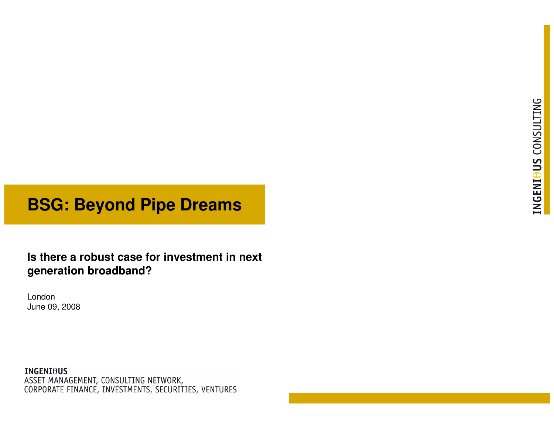# **BSG: Beyond Pipe Dreams**

**Is there a robust case for investment in next generation broadband?**

LondonJune 09, 2008

**INGENIOUS** ASSET MANAGEMENT, CONSULTING NETWORK, CORPORATE FINANCE, INVESTMENTS, SECURITIES, VENTURES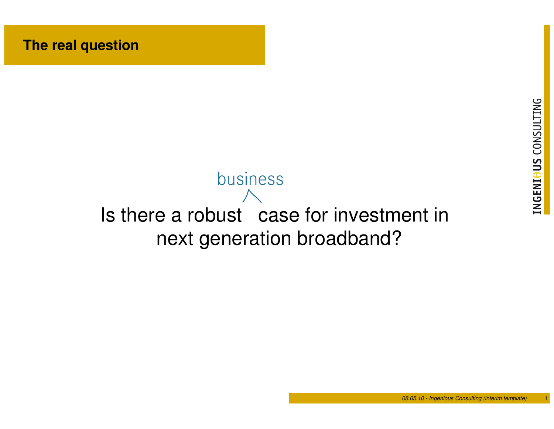# Is there a robust case for investment innext generation broadband?business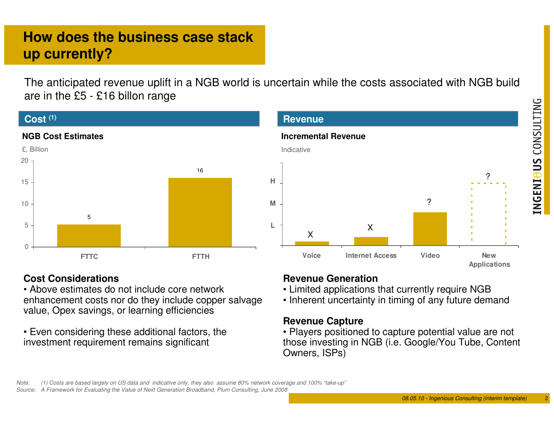#### 08.05.10 - Ingenious Consulting (interim template) $\mathcal{Q}$  (

**Applications**

?

INGENIOUS CONSULTING

# **How does the business case stack up currently?**

The anticipated revenue uplift in a NGB world is uncertain while the costs associated with NGB build are in the £5 - £16 billon range

**L**

**M**

**H**

**Revenue**

Indicative

**Incremental Revenue**

#### **Cost (1)**



### **Cost Considerations**

 • Above estimates do not include core network enhancement costs nor do they include copper salvage value, Opex savings, or learning efficiencies

• Even considering these additional factors, the investment requirement remains significant

#### **Revenue Generation**

X

• Limited applications that currently require NGB

X

• Inherent uncertainty in timing of any future demand

**Voice Internet Access Video New**

?

#### **Revenue Capture**

 • Players positioned to capture potential value are not those investing in NGB (i.e. Google/You Tube, Content Owners, ISPs)

Note: (1) Costs are based largely on US data and indicative only, they also assume 80% network coverage and 100% "take-up"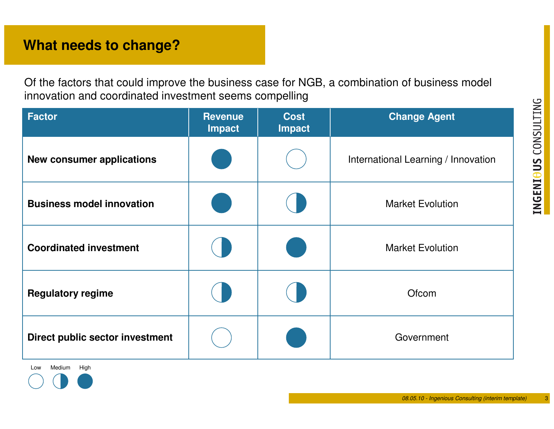3

# **What needs to change?**

Of the factors that could improve the business case for NGB, a combination of business model innovation and coordinated investment seems compelling

| <b>Factor</b>                    | <b>Revenue</b><br><b>Impact</b> | <b>Cost</b><br>Impact | <b>Change Agent</b>                 |
|----------------------------------|---------------------------------|-----------------------|-------------------------------------|
| <b>New consumer applications</b> |                                 |                       | International Learning / Innovation |
| <b>Business model innovation</b> |                                 |                       | <b>Market Evolution</b>             |
| <b>Coordinated investment</b>    |                                 |                       | <b>Market Evolution</b>             |
| <b>Regulatory regime</b>         |                                 |                       | Ofcom                               |
| Direct public sector investment  |                                 |                       | Government                          |

Low MediumHigh

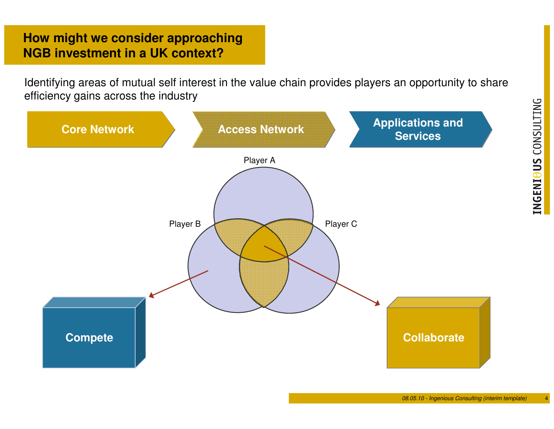## **How might we consider approaching NGB investment in a UK context?**

Identifying areas of mutual self interest in the value chain provides players an opportunity to share efficiency gains across the industry